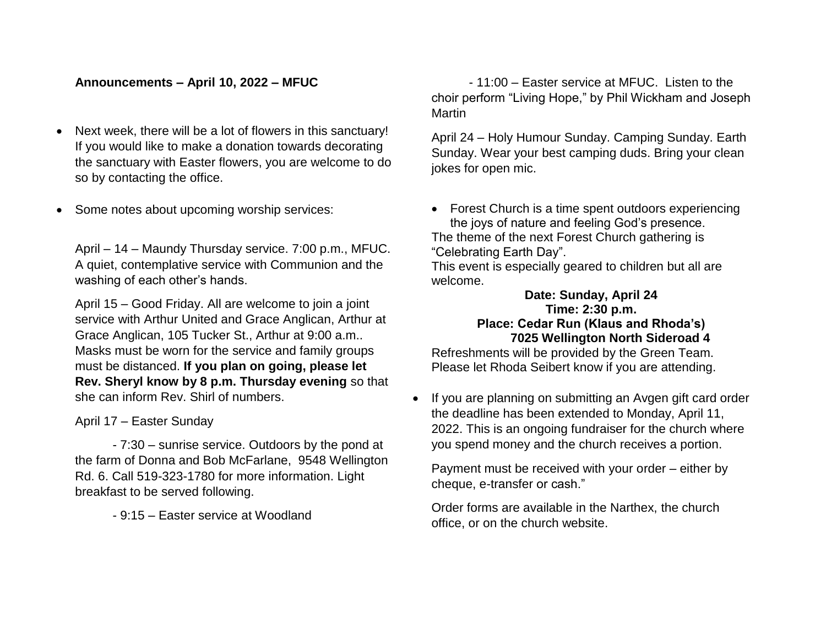## **Announcements – April 10, 2022 – MFUC**

- Next week, there will be a lot of flowers in this sanctuary! If you would like to make a donation towards decorating the sanctuary with Easter flowers, you are welcome to do so by contacting the office.
- Some notes about upcoming worship services:

April – 14 – Maundy Thursday service. 7:00 p.m., MFUC. A quiet, contemplative service with Communion and the washing of each other's hands.

April 15 – Good Friday. All are welcome to join a joint service with Arthur United and Grace Anglican, Arthur at Grace Anglican, 105 Tucker St., Arthur at 9:00 a.m.. Masks must be worn for the service and family groups must be distanced. **If you plan on going, please let Rev. Sheryl know by 8 p.m. Thursday evening** so that she can inform Rev. Shirl of numbers.

April 17 – Easter Sunday

- 7:30 – sunrise service. Outdoors by the pond at the farm of Donna and Bob McFarlane, 9548 Wellington Rd. 6. Call 519-323-1780 for more information. Light breakfast to be served following.

- 9:15 – Easter service at Woodland

- 11:00 – Easter service at MFUC. Listen to the choir perform "Living Hope," by Phil Wickham and Joseph Martin

April 24 – Holy Humour Sunday. Camping Sunday. Earth Sunday. Wear your best camping duds. Bring your clean jokes for open mic.

• Forest Church is a time spent outdoors experiencing the joys of nature and feeling God's presence.

The theme of the next Forest Church gathering is "Celebrating Earth Day".

This event is especially geared to children but all are welcome.

## **Date: Sunday, April 24 Time: 2:30 p.m. Place: Cedar Run (Klaus and Rhoda's) 7025 Wellington North Sideroad 4**

Refreshments will be provided by the Green Team. Please let Rhoda Seibert know if you are attending.

• If you are planning on submitting an Avgen gift card order the deadline has been extended to Monday, April 11, 2022. This is an ongoing fundraiser for the church where you spend money and the church receives a portion.

Payment must be received with your order – either by cheque, e-transfer or cash."

Order forms are available in the Narthex, the church office, or on the church website.